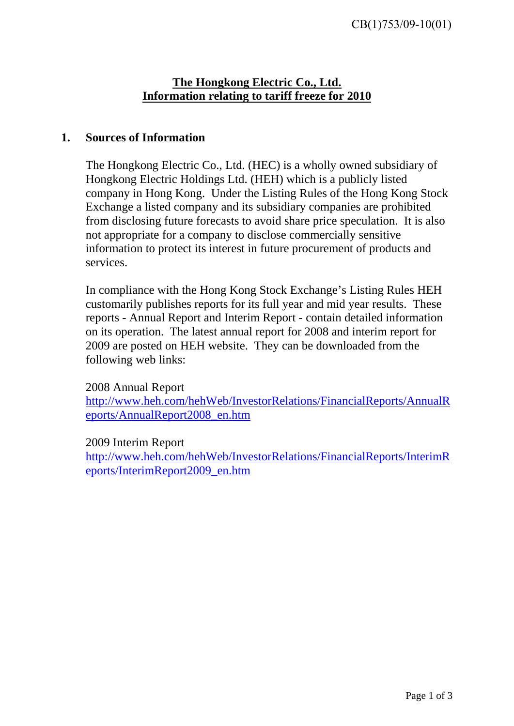# **The Hongkong Electric Co., Ltd. Information relating to tariff freeze for 2010**

### **1. Sources of Information**

The Hongkong Electric Co., Ltd. (HEC) is a wholly owned subsidiary of Hongkong Electric Holdings Ltd. (HEH) which is a publicly listed company in Hong Kong. Under the Listing Rules of the Hong Kong Stock Exchange a listed company and its subsidiary companies are prohibited from disclosing future forecasts to avoid share price speculation. It is also not appropriate for a company to disclose commercially sensitive information to protect its interest in future procurement of products and services.

In compliance with the Hong Kong Stock Exchange's Listing Rules HEH customarily publishes reports for its full year and mid year results. These reports - Annual Report and Interim Report - contain detailed information on its operation. The latest annual report for 2008 and interim report for 2009 are posted on HEH website. They can be downloaded from the following web links:

### 2008 Annual Report

[http://www.heh.com/hehWeb/InvestorRelations/FinancialReports/AnnualR](http://www.heh.com/hehWeb/InvestorRelations/FinancialReports/AnnualReports/AnnualReport2008_en.htm) [eports/AnnualReport2008\\_en.htm](http://www.heh.com/hehWeb/InvestorRelations/FinancialReports/AnnualReports/AnnualReport2008_en.htm)

### 2009 Interim Report

[http://www.heh.com/hehWeb/InvestorRelations/FinancialReports/InterimR](http://www.heh.com/hehWeb/InvestorRelations/FinancialReports/InterimReports/InterimReport2009_en.htm) [eports/InterimReport2009\\_en.htm](http://www.heh.com/hehWeb/InvestorRelations/FinancialReports/InterimReports/InterimReport2009_en.htm)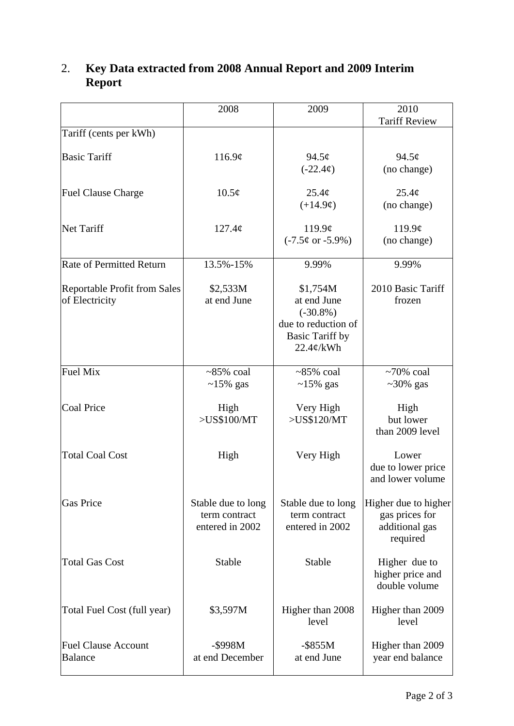|                                                       | 2008                                                   | 2009                                                                                                    | 2010<br><b>Tariff Review</b>                                         |
|-------------------------------------------------------|--------------------------------------------------------|---------------------------------------------------------------------------------------------------------|----------------------------------------------------------------------|
| Tariff (cents per kWh)                                |                                                        |                                                                                                         |                                                                      |
| <b>Basic Tariff</b>                                   | 116.9¢                                                 | $94.5\phi$<br>$(-22.4¢)$                                                                                | $94.5\phi$<br>(no change)                                            |
| <b>Fuel Clause Charge</b>                             | $10.5\phi$                                             | 25.4¢<br>$(+14.9¢)$                                                                                     | $25.4\phi$<br>(no change)                                            |
| <b>Net Tariff</b>                                     | 127.4¢                                                 | 119.9 $\phi$<br>$(-7.5¢$ or $-5.9\%)$                                                                   | 119.9¢<br>(no change)                                                |
| <b>Rate of Permitted Return</b>                       | 13.5%-15%                                              | 9.99%                                                                                                   | 9.99%                                                                |
| <b>Reportable Profit from Sales</b><br>of Electricity | \$2,533M<br>at end June                                | \$1,754M<br>at end June<br>$(-30.8\%)$<br>due to reduction of<br><b>Basic Tariff by</b><br>$22.4¢$ /kWh | 2010 Basic Tariff<br>frozen                                          |
| <b>Fuel Mix</b>                                       | $~5\%$ coal<br>$\sim$ 15% gas                          | $~5\%$ coal<br>$\sim$ 15% gas                                                                           | $~10\%$ coal<br>$~20\%$ gas                                          |
| <b>Coal Price</b>                                     | High<br>>US\$100/MT                                    | Very High<br>>US\$120/MT                                                                                | High<br>but lower<br>than 2009 level                                 |
| <b>Total Coal Cost</b>                                | High                                                   | Very High                                                                                               | Lower<br>due to lower price<br>and lower volume                      |
| <b>Gas Price</b>                                      | Stable due to long<br>term contract<br>entered in 2002 | Stable due to long<br>term contract<br>entered in 2002                                                  | Higher due to higher<br>gas prices for<br>additional gas<br>required |
| <b>Total Gas Cost</b>                                 | Stable                                                 | Stable                                                                                                  | Higher due to<br>higher price and<br>double volume                   |
| Total Fuel Cost (full year)                           | \$3,597M                                               | Higher than 2008<br>level                                                                               | Higher than 2009<br>level                                            |
| <b>Fuel Clause Account</b><br><b>Balance</b>          | -\$998M<br>at end December                             | $-$ \$855M<br>at end June                                                                               | Higher than 2009<br>year end balance                                 |

## 2. **Key Data extracted from 2008 Annual Report and 2009 Interim Report**